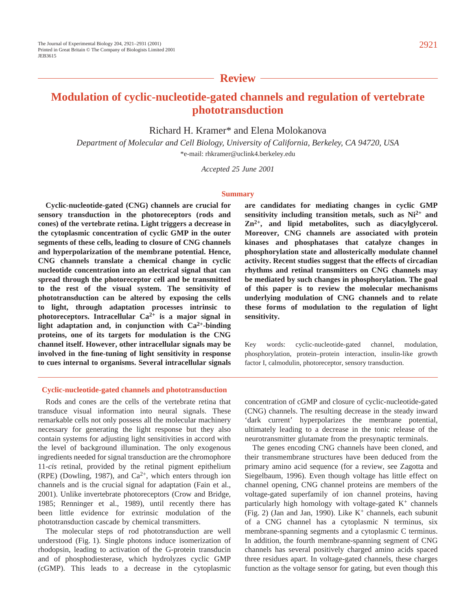## **Review**

# **Modulation of cyclic-nucleotide-gated channels and regulation of vertebrate phototransduction**

Richard H. Kramer\* and Elena Molokanova

*Department of Molecular and Cell Biology, University of California, Berkeley, CA 94720, USA* \*e-mail: rhkramer@uclink4.berkeley.edu

*Accepted 25 June 2001*

#### **Summary**

**Cyclic-nucleotide-gated (CNG) channels are crucial for sensory transduction in the photoreceptors (rods and cones) of the vertebrate retina. Light triggers a decrease in the cytoplasmic concentration of cyclic GMP in the outer segments of these cells, leading to closure of CNG channels and hyperpolarization of the membrane potential. Hence, CNG channels translate a chemical change in cyclic nucleotide concentration into an electrical signal that can spread through the photoreceptor cell and be transmitted to the rest of the visual system. The sensitivity of phototransduction can be altered by exposing the cells to light, through adaptation processes intrinsic to photoreceptors. Intracellular Ca2+ is a major signal in light adaptation and, in conjunction with Ca2+-binding proteins, one of its targets for modulation is the CNG channel itself. However, other intracellular signals may be involved in the fine-tuning of light sensitivity in response to cues internal to organisms. Several intracellular signals** **are candidates for mediating changes in cyclic GMP sensitivity including transition metals, such as Ni2+ and Zn2+, and lipid metabolites, such as diacylglycerol. Moreover, CNG channels are associated with protein kinases and phosphatases that catalyze changes in phosphorylation state and allosterically modulate channel activity. Recent studies suggest that the effects of circadian rhythms and retinal transmitters on CNG channels may be mediated by such changes in phosphorylation. The goal of this paper is to review the molecular mechanisms underlying modulation of CNG channels and to relate these forms of modulation to the regulation of light sensitivity.**

Key words: cyclic-nucleotide-gated channel, modulation, phosphorylation, protein–protein interaction, insulin-like growth factor I, calmodulin, photoreceptor, sensory transduction.

## **Cyclic-nucleotide-gated channels and phototransduction**

Rods and cones are the cells of the vertebrate retina that transduce visual information into neural signals. These remarkable cells not only possess all the molecular machinery necessary for generating the light response but they also contain systems for adjusting light sensitivities in accord with the level of background illumination. The only exogenous ingredients needed for signal transduction are the chromophore 11-*cis* retinal, provided by the retinal pigment epithelium (RPE) (Dowling, 1987), and  $Ca^{2+}$ , which enters through ion channels and is the crucial signal for adaptation (Fain et al., 2001). Unlike invertebrate photoreceptors (Crow and Bridge, 1985; Renninger et al., 1989), until recently there has been little evidence for extrinsic modulation of the phototransduction cascade by chemical transmitters.

The molecular steps of rod phototransduction are well understood (Fig. 1). Single photons induce isomerization of rhodopsin, leading to activation of the G-protein transducin and of phosphodiesterase, which hydrolyzes cyclic GMP (cGMP). This leads to a decrease in the cytoplasmic concentration of cGMP and closure of cyclic-nucleotide-gated (CNG) channels. The resulting decrease in the steady inward 'dark current' hyperpolarizes the membrane potential, ultimately leading to a decrease in the tonic release of the neurotransmitter glutamate from the presynaptic terminals.

The genes encoding CNG channels have been cloned, and their transmembrane structures have been deduced from the primary amino acid sequence (for a review, see Zagotta and Siegelbaum, 1996). Even though voltage has little effect on channel opening, CNG channel proteins are members of the voltage-gated superfamily of ion channel proteins, having particularly high homology with voltage-gated  $K^+$  channels (Fig. 2) (Jan and Jan, 1990). Like  $K^+$  channels, each subunit of a CNG channel has a cytoplasmic N terminus, six membrane-spanning segments and a cytoplasmic C terminus. In addition, the fourth membrane-spanning segment of CNG channels has several positively charged amino acids spaced three residues apart. In voltage-gated channels, these charges function as the voltage sensor for gating, but even though this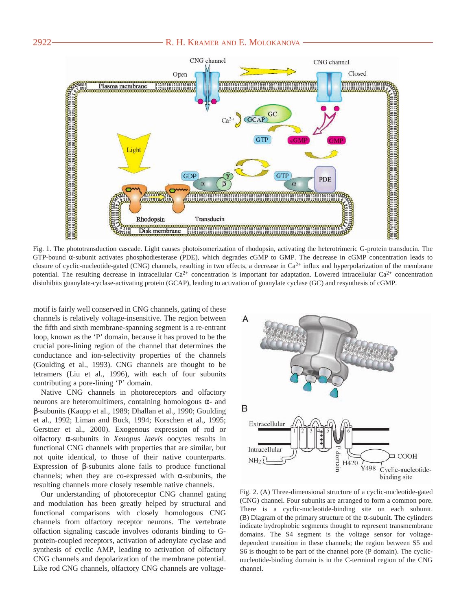## 2922 — R. H. KRAMER AND E. MOLOKANOVA



Fig. 1. The phototransduction cascade. Light causes photoisomerization of rhodopsin, activating the heterotrimeric G-protein transducin. The GTP-bound α-subunit activates phosphodiesterase (PDE), which degrades cGMP to GMP. The decrease in cGMP concentration leads to closure of cyclic-nucleotide-gated (CNG) channels, resulting in two effects, a decrease in  $Ca^{2+}$  influx and hyperpolarization of the membrane potential. The resulting decrease in intracellular  $Ca^{2+}$  concentration is important for adaptation. Lowered intracellular  $Ca^{2+}$  concentration disinhibits guanylate-cyclase-activating protein (GCAP), leading to activation of guanylate cyclase (GC) and resynthesis of cGMP.

motif is fairly well conserved in CNG channels, gating of these channels is relatively voltage-insensitive. The region between the fifth and sixth membrane-spanning segment is a re-entrant loop, known as the 'P' domain, because it has proved to be the crucial pore-lining region of the channel that determines the conductance and ion-selectivity properties of the channels (Goulding et al., 1993). CNG channels are thought to be tetramers (Liu et al., 1996), with each of four subunits contributing a pore-lining 'P' domain.

Native CNG channels in photoreceptors and olfactory neurons are heteromultimers, containing homologous  $α-$  and β-subunits (Kaupp et al., 1989; Dhallan et al., 1990; Goulding et al., 1992; Liman and Buck, 1994; Korschen et al., 1995; Gerstner et al., 2000). Exogenous expression of rod or olfactory α-subunits in *Xenopus laevis* oocytes results in functional CNG channels with properties that are similar, but not quite identical, to those of their native counterparts. Expression of β-subunits alone fails to produce functional channels; when they are co-expressed with  $\alpha$ -subunits, the resulting channels more closely resemble native channels.

Our understanding of photoreceptor CNG channel gating and modulation has been greatly helped by structural and functional comparisons with closely homologous CNG channels from olfactory receptor neurons. The vertebrate olfaction signaling cascade involves odorants binding to Gprotein-coupled receptors, activation of adenylate cyclase and synthesis of cyclic AMP, leading to activation of olfactory CNG channels and depolarization of the membrane potential. Like rod CNG channels, olfactory CNG channels are voltage-



Fig. 2. (A) Three-dimensional structure of a cyclic-nucleotide-gated (CNG) channel. Four subunits are arranged to form a common pore. There is a cyclic-nucleotide-binding site on each subunit. (B) Diagram of the primary structure of the  $\alpha$ -subunit. The cylinders indicate hydrophobic segments thought to represent transmembrane domains. The S4 segment is the voltage sensor for voltagedependent transition in these channels; the region between S5 and S6 is thought to be part of the channel pore (P domain). The cyclicnucleotide-binding domain is in the C-terminal region of the CNG channel.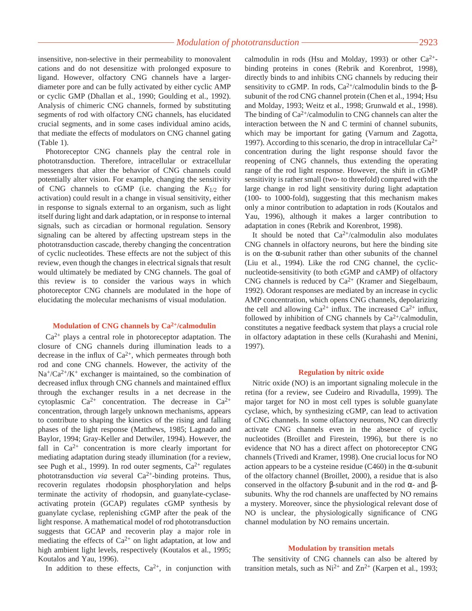insensitive, non-selective in their permeability to monovalent cations and do not desensitize with prolonged exposure to ligand. However, olfactory CNG channels have a largerdiameter pore and can be fully activated by either cyclic AMP or cyclic GMP (Dhallan et al., 1990; Goulding et al., 1992). Analysis of chimeric CNG channels, formed by substituting segments of rod with olfactory CNG channels, has elucidated crucial segments, and in some cases individual amino acids, that mediate the effects of modulators on CNG channel gating (Table 1).

Photoreceptor CNG channels play the central role in phototransduction. Therefore, intracellular or extracellular messengers that alter the behavior of CNG channels could potentially alter vision. For example, changing the sensitivity of CNG channels to cGMP (i.e. changing the *K*1/2 for activation) could result in a change in visual sensitivity, either in response to signals external to an organism, such as light itself during light and dark adaptation, or in response to internal signals, such as circadian or hormonal regulation. Sensory signaling can be altered by affecting upstream steps in the phototransduction cascade, thereby changing the concentration of cyclic nucleotides. These effects are not the subject of this review, even though the changes in electrical signals that result would ultimately be mediated by CNG channels. The goal of this review is to consider the various ways in which photoreceptor CNG channels are modulated in the hope of elucidating the molecular mechanisms of visual modulation.

## **Modulation of CNG channels by Ca2+/calmodulin**

 $Ca<sup>2+</sup>$  plays a central role in photoreceptor adaptation. The closure of CNG channels during illumination leads to a decrease in the influx of  $Ca^{2+}$ , which permeates through both rod and cone CNG channels. However, the activity of the  $Na^{+}/Ca^{2+}/K^{+}$  exchanger is maintained, so the combination of decreased influx through CNG channels and maintained efflux through the exchanger results in a net decrease in the cytoplasmic  $Ca^{2+}$  concentration. The decrease in  $Ca^{2+}$ concentration, through largely unknown mechanisms, appears to contribute to shaping the kinetics of the rising and falling phases of the light response (Matthews, 1985; Lagnado and Baylor, 1994; Gray-Keller and Detwiler, 1994). However, the fall in  $Ca^{2+}$  concentration is more clearly important for mediating adaptation during steady illumination (for a review, see Pugh et al., 1999). In rod outer segments,  $Ca^{2+}$  regulates phototransduction *via* several Ca<sup>2+</sup>-binding proteins. Thus, recoverin regulates rhodopsin phosphorylation and helps terminate the activity of rhodopsin, and guanylate-cyclaseactivating protein (GCAP) regulates cGMP synthesis by guanylate cyclase, replenishing cGMP after the peak of the light response. A mathematical model of rod phototransduction suggests that GCAP and recoverin play a major role in mediating the effects of  $Ca^{2+}$  on light adaptation, at low and high ambient light levels, respectively (Koutalos et al., 1995; Koutalos and Yau, 1996).

In addition to these effects,  $Ca^{2+}$ , in conjunction with

calmodulin in rods (Hsu and Molday, 1993) or other  $Ca^{2+}$ binding proteins in cones (Rebrik and Korenbrot, 1998), directly binds to and inhibits CNG channels by reducing their sensitivity to cGMP. In rods,  $Ca^{2+}/c$ almodulin binds to the  $\beta$ subunit of the rod CNG channel protein (Chen et al., 1994; Hsu and Molday, 1993; Weitz et al., 1998; Grunwald et al., 1998). The binding of  $Ca^{2+}/cal$  calmodulin to CNG channels can alter the interaction between the N and C termini of channel subunits, which may be important for gating (Varnum and Zagotta, 1997). According to this scenario, the drop in intracellular  $Ca^{2+}$ concentration during the light response should favor the reopening of CNG channels, thus extending the operating range of the rod light response. However, the shift in cGMP sensitivity is rather small (two- to threefold) compared with the large change in rod light sensitivity during light adaptation (100- to 1000-fold), suggesting that this mechanism makes only a minor contribution to adaptation in rods (Koutalos and Yau, 1996), although it makes a larger contribution to adaptation in cones (Rebrik and Korenbrot, 1998).

It should be noted that  $Ca^{2+}/cal$ calmodulin also modulates CNG channels in olfactory neurons, but here the binding site is on the  $\alpha$ -subunit rather than other subunits of the channel (Liu et al., 1994). Like the rod CNG channel, the cyclicnucleotide-sensitivity (to both cGMP and cAMP) of olfactory CNG channels is reduced by  $Ca^{2+}$  (Kramer and Siegelbaum, 1992). Odorant responses are mediated by an increase in cyclic AMP concentration, which opens CNG channels, depolarizing the cell and allowing  $Ca^{2+}$  influx. The increased  $Ca^{2+}$  influx, followed by inhibition of CNG channels by  $Ca^{2+}/cal$ calmodulin, constitutes a negative feedback system that plays a crucial role in olfactory adaptation in these cells (Kurahashi and Menini, 1997).

#### **Regulation by nitric oxide**

Nitric oxide (NO) is an important signaling molecule in the retina (for a review, see Cudeiro and Rivadulla, 1999). The major target for NO in most cell types is soluble guanylate cyclase, which, by synthesizing cGMP, can lead to activation of CNG channels. In some olfactory neurons, NO can directly activate CNG channels even in the absence of cyclic nucleotides (Broillet and Firestein, 1996), but there is no evidence that NO has a direct affect on photoreceptor CNG channels (Trivedi and Kramer, 1998). One crucial locus for NO action appears to be a cysteine residue (C460) in the  $\alpha$ -subunit of the olfactory channel (Broillet, 2000), a residue that is also conserved in the olfactory β-subunit and in the rod  $\alpha$ - and βsubunits. Why the rod channels are unaffected by NO remains a mystery. Moreover, since the physiological relevant dose of NO is unclear, the physiologically significance of CNG channel modulation by NO remains uncertain.

### **Modulation by transition metals**

The sensitivity of CNG channels can also be altered by transition metals, such as  $Ni^{2+}$  and  $Zn^{2+}$  (Karpen et al., 1993;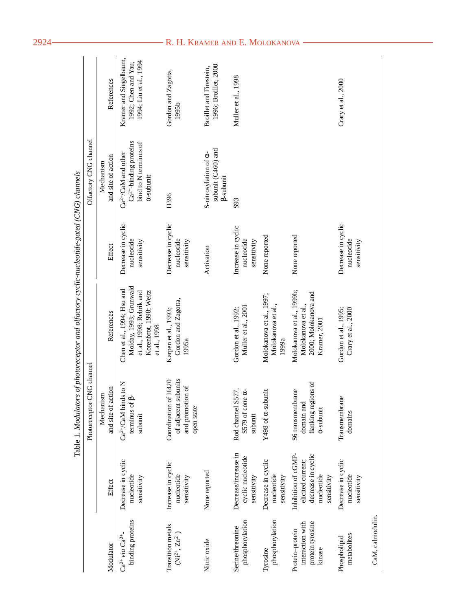|                                                                   |                                                                                             |                                                                                | Table 1. Modulators of photoreceptor and olfactory cyclic-nucleotide-gated (CNG) channels                                  |                                                 |                                                                                                      |                                                                         |
|-------------------------------------------------------------------|---------------------------------------------------------------------------------------------|--------------------------------------------------------------------------------|----------------------------------------------------------------------------------------------------------------------------|-------------------------------------------------|------------------------------------------------------------------------------------------------------|-------------------------------------------------------------------------|
|                                                                   |                                                                                             | Photoreceptor CNG channel                                                      |                                                                                                                            |                                                 | Olfactory CNG channel                                                                                |                                                                         |
| Modulator                                                         | Effect                                                                                      | and site of action<br>Mechanism                                                | References                                                                                                                 | Effect                                          | and site of action<br>Mechanism                                                                      | References                                                              |
| binding proteins<br>$Ca^{2+}$ via $Ca^{2+}$ -                     | Decrease in cyclic<br>nucleotide<br>sensitivity                                             | $Ca^{2+}/CaM$ binds to N<br>terminus of $\beta$ -<br>subunit                   | Molday, 1993; Grunwald<br>Chen et al., 1994; Hsu and<br>et al., 1998; Rebrik and<br>Korenbrot, 1998; Weitz<br>et al., 1998 | Decrease in cyclic<br>nucleotide<br>sensitivity | $Ca^{2+}$ -binding proteins<br>bind to N terminus of<br>$Ca^{2+}/CaM$ and other<br>$\alpha$ -subunit | Kramer and Siegelbaum,<br>1994; Liu et al., 1994<br>1992; Chen and Yau, |
| Transition metals<br>$(Ni^{2+}, Zn^{2+})$                         | Increase in cyclic<br>nucleotide<br>sensitivity                                             | of adjacent subunits<br>Coordination of H420<br>and promotion of<br>open state | Gordon and Zagotta,<br>Karpen et al., 1993;<br>1995a                                                                       | Decrease in cyclic<br>nucleotide<br>sensitivity | H396                                                                                                 | Gordon and Zagotta,<br>1995b                                            |
| Nitric oxide                                                      | None reported                                                                               |                                                                                |                                                                                                                            | Activation                                      | subunit (C460) and<br>S-nitrosylation of a-<br><b>B-subunit</b>                                      | 1996; Broillet, 2000<br>Broillet and Firestein,                         |
| phosphorylation<br>Serine/threonine                               | Decrease/increase in<br>cyclic nucleotide<br>sensitivity                                    | Rod channel S577,<br>$\sim$<br>S579 of cone<br>subunit                         | Muller et al., 2001<br>Gordon et al., 1992;                                                                                | Increase in cyclic<br>nucleotide<br>sensitivity | S93                                                                                                  | Muller et al., 1998                                                     |
| phosphorylation<br>Tyrosine                                       | Decrease in cyclic<br>nucleotide<br>sensitivity                                             | Y498 of $\alpha$ -subunit                                                      | Molokanova et al., 1997;<br>Molokanova et al.,<br>1999a                                                                    | None reported                                   |                                                                                                      |                                                                         |
| protein tyrosine<br>interaction with<br>Protein-protein<br>kinase | Inhibition of cGMP-<br>decrease in cyclic<br>elicited current;<br>nucleotide<br>sensitivity | flanking regions of<br>S6 transmembrane<br>domain and<br>$\alpha$ -subunit     | Molokanova et al., 199b;<br>2000; Molokanova and<br>Molokanova et al.,<br>Kramer, 2001                                     | None reported                                   |                                                                                                      |                                                                         |
| metabolites<br>Phospholipid                                       | Decrease in cyclic<br>nucleotide<br>sensitivity                                             | Transmembrane<br>domains                                                       | Gordon et al., 1995;<br>Crary et al., 2000                                                                                 | Decrease in cyclic<br>nucleotide<br>sensitivity |                                                                                                      | Crary et al., 2000                                                      |
| CaM, calmodulin.                                                  |                                                                                             |                                                                                |                                                                                                                            |                                                 |                                                                                                      |                                                                         |

## 2924 R. H. KRAMER AND E. MOLOKANOVA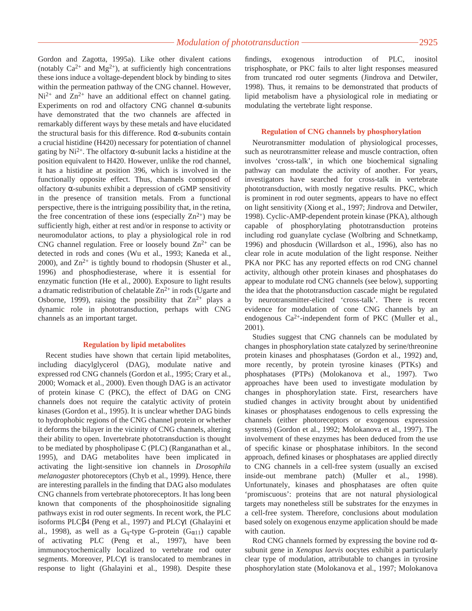Gordon and Zagotta, 1995a). Like other divalent cations (notably  $Ca^{2+}$  and  $Mg^{2+}$ ), at sufficiently high concentrations these ions induce a voltage-dependent block by binding to sites within the permeation pathway of the CNG channel. However,  $Ni<sup>2+</sup>$  and  $Zn<sup>2+</sup>$  have an additional effect on channel gating. Experiments on rod and olfactory CNG channel α-subunits have demonstrated that the two channels are affected in remarkably different ways by these metals and have elucidated the structural basis for this difference. Rod  $\alpha$ -subunits contain a crucial histidine (H420) necessary for potentiation of channel gating by Ni<sup>2+</sup>. The olfactory  $\alpha$ -subunit lacks a histidine at the position equivalent to H420. However, unlike the rod channel, it has a histidine at position 396, which is involved in the functionally opposite effect. Thus, channels composed of olfactory  $\alpha$ -subunits exhibit a depression of cGMP sensitivity in the presence of transition metals. From a functional perspective, there is the intriguing possibility that, in the retina, the free concentration of these ions (especially  $Zn^{2+}$ ) may be sufficiently high, either at rest and/or in response to activity or neuromodulator actions, to play a physiological role in rod CNG channel regulation. Free or loosely bound  $\text{Zn}^{2+}$  can be detected in rods and cones (Wu et al., 1993; Kaneda et al., 2000), and  $Zn^{2+}$  is tightly bound to rhodopsin (Shuster et al., 1996) and phosphodiesterase, where it is essential for enzymatic function (He et al., 2000). Exposure to light results a dramatic redistribution of chelatable  $Zn^{2+}$  in rods (Ugarte and Osborne, 1999), raising the possibility that  $Zn^{2+}$  plays a dynamic role in phototransduction, perhaps with CNG channels as an important target.

## **Regulation by lipid metabolites**

Recent studies have shown that certain lipid metabolites, including diacylglycerol (DAG), modulate native and expressed rod CNG channels (Gordon et al., 1995; Crary et al., 2000; Womack et al., 2000). Even though DAG is an activator of protein kinase C (PKC), the effect of DAG on CNG channels does not require the catalytic activity of protein kinases (Gordon et al., 1995). It is unclear whether DAG binds to hydrophobic regions of the CNG channel protein or whether it deforms the bilayer in the vicinity of CNG channels, altering their ability to open. Invertebrate phototransduction is thought to be mediated by phospholipase C (PLC) (Ranganathan et al., 1995), and DAG metabolites have been implicated in activating the light-sensitive ion channels in *Drosophila melanogaster* photoreceptors (Chyb et al., 1999). Hence, there are interesting parallels in the finding that DAG also modulates CNG channels from vertebrate photoreceptors. It has long been known that components of the phosphoinositide signaling pathways exist in rod outer segments. In recent work, the PLC isoforms PLCβ4 (Peng et al., 1997) and PLCγ1 (Ghalayini et al., 1998), as well as a G<sub>q</sub>-type G-protein (G<sub> $\alpha$ 11</sub>) capable of activating PLC (Peng et al., 1997), have been immunocytochemically localized to vertebrate rod outer segments. Moreover, PLCγ1 is translocated to membranes in response to light (Ghalayini et al., 1998). Despite these findings, exogenous introduction of PLC, inositol trisphosphate, or PKC fails to alter light responses measured from truncated rod outer segments (Jindrova and Detwiler, 1998). Thus, it remains to be demonstrated that products of lipid metabolism have a physiological role in mediating or modulating the vertebrate light response.

## **Regulation of CNG channels by phosphorylation**

Neurotransmitter modulation of physiological processes, such as neurotransmitter release and muscle contraction, often involves 'cross-talk', in which one biochemical signaling pathway can modulate the activity of another. For years, investigators have searched for cross-talk in vertebrate phototransduction, with mostly negative results. PKC, which is prominent in rod outer segments, appears to have no effect on light sensitivity (Xiong et al., 1997; Jindrova and Detwiler, 1998). Cyclic-AMP-dependent protein kinase (PKA), although capable of phosphorylating phototransduction proteins including rod guanylate cyclase (Wolbring and Schnetkamp, 1996) and phosducin (Willardson et al., 1996), also has no clear role in acute modulation of the light response. Neither PKA nor PKC has any reported effects on rod CNG channel activity, although other protein kinases and phosphatases do appear to modulate rod CNG channels (see below), supporting the idea that the phototransduction cascade might be regulated by neurotransmitter-elicited 'cross-talk'. There is recent evidence for modulation of cone CNG channels by an endogenous Ca<sup>2+</sup>-independent form of PKC (Muller et al., 2001).

Studies suggest that CNG channels can be modulated by changes in phosphorylation state catalyzed by serine/threonine protein kinases and phosphatases (Gordon et al., 1992) and, more recently, by protein tyrosine kinases (PTKs) and phosphatases (PTPs) (Molokanova et al., 1997). Two approaches have been used to investigate modulation by changes in phosphorylation state. First, researchers have studied changes in activity brought about by unidentified kinases or phosphatases endogenous to cells expressing the channels (either photoreceptors or exogenous expression systems) (Gordon et al., 1992; Molokanova et al., 1997). The involvement of these enzymes has been deduced from the use of specific kinase or phosphatase inhibitors. In the second approach, defined kinases or phosphatases are applied directly to CNG channels in a cell-free system (usually an excised inside-out membrane patch) (Muller et al., 1998). Unfortunately, kinases and phosphatases are often quite 'promiscuous': proteins that are not natural physiological targets may nonetheless still be substrates for the enzymes in a cell-free system. Therefore, conclusions about modulation based solely on exogenous enzyme application should be made with caution.

Rod CNG channels formed by expressing the bovine rod  $\alpha$ subunit gene in *Xenopus laevis* oocytes exhibit a particularly clear type of modulation, attributable to changes in tyrosine phosphorylation state (Molokanova et al., 1997; Molokanova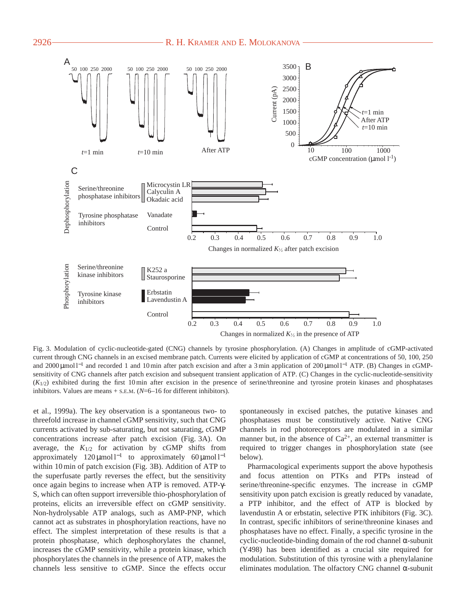



Fig. 3. Modulation of cyclic-nucleotide-gated (CNG) channels by tyrosine phosphorylation. (A) Changes in amplitude of cGMP-activated current through CNG channels in an excised membrane patch. Currents were elicited by application of cGMP at concentrations of 50, 100, 250 and 2000 µmol l<sup>-1</sup> and recorded 1 and 10 min after patch excision and after a 3 min application of 200 µmol l<sup>-1</sup> ATP. (B) Changes in cGMPsensitivity of CNG channels after patch excision and subsequent transient application of ATP. (C) Changes in the cyclic-nucleotide-sensitivity  $(K_{1/2})$  exhibited during the first 10 min after excision in the presence of serine/threonine and tyrosine protein kinases and phosphatases inhibitors. Values are means  $+$  s.e.m. ( $N=6$ –16 for different inhibitors).

et al., 1999a). The key observation is a spontaneous two- to threefold increase in channel cGMP sensitivity, such that CNG currents activated by sub-saturating, but not saturating, cGMP concentrations increase after patch excision (Fig. 3A). On average, the  $K_{1/2}$  for activation by cGMP shifts from approximately  $120 \mu$ mol l<sup>-1</sup> to approximately 60  $\mu$ mol l<sup>-1</sup> within 10 min of patch excision (Fig. 3B). Addition of ATP to the superfusate partly reverses the effect, but the sensitivity once again begins to increase when ATP is removed. ATP-γ-S, which can often support irreversible thio-phosphorylation of proteins, elicits an irreversible effect on cGMP sensitivity. Non-hydrolysable ATP analogs, such as AMP-PNP, which cannot act as substrates in phosphorylation reactions, have no effect. The simplest interpretation of these results is that a protein phosphatase, which dephosphorylates the channel, increases the cGMP sensitivity, while a protein kinase, which phosphorylates the channels in the presence of ATP, makes the channels less sensitive to cGMP. Since the effects occur spontaneously in excised patches, the putative kinases and phosphatases must be constitutively active. Native CNG channels in rod photoreceptors are modulated in a similar manner but, in the absence of  $Ca^{2+}$ , an external transmitter is required to trigger changes in phosphorylation state (see below).

Pharmacological experiments support the above hypothesis and focus attention on PTKs and PTPs instead of serine/threonine-specific enzymes. The increase in cGMP sensitivity upon patch excision is greatly reduced by vanadate, a PTP inhibitor, and the effect of ATP is blocked by lavendustin A or erbstatin, selective PTK inhibitors (Fig. 3C). In contrast, specific inhibitors of serine/threonine kinases and phosphatases have no effect. Finally, a specific tyrosine in the cyclic-nucleotide-binding domain of the rod channel α-subunit (Y498) has been identified as a crucial site required for modulation. Substitution of this tyrosine with a phenylalanine eliminates modulation. The olfactory CNG channel α-subunit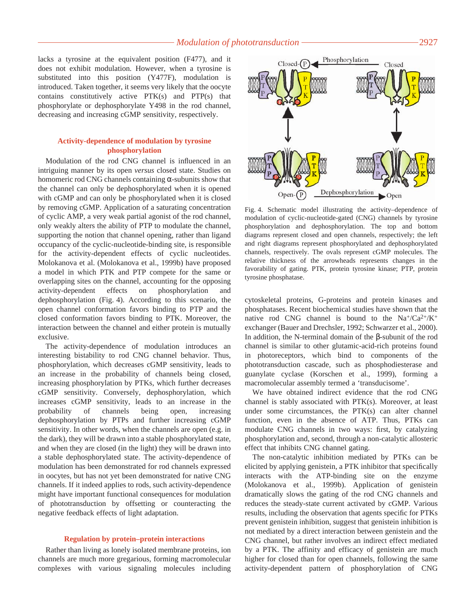lacks a tyrosine at the equivalent position (F477), and it does not exhibit modulation. However, when a tyrosine is substituted into this position (Y477F), modulation is introduced. Taken together, it seems very likely that the oocyte contains constitutively active PTK(s) and PTP(s) that phosphorylate or dephosphorylate Y498 in the rod channel, decreasing and increasing cGMP sensitivity, respectively.

## **Activity-dependence of modulation by tyrosine phosphorylation**

Modulation of the rod CNG channel is influenced in an intriguing manner by its open *versus* closed state. Studies on homomeric rod CNG channels containing  $\alpha$ -subunits show that the channel can only be dephosphorylated when it is opened with cGMP and can only be phosphorylated when it is closed by removing cGMP. Application of a saturating concentration of cyclic AMP, a very weak partial agonist of the rod channel, only weakly alters the ability of PTP to modulate the channel, supporting the notion that channel opening, rather than ligand occupancy of the cyclic-nucleotide-binding site, is responsible for the activity-dependent effects of cyclic nucleotides. Molokanova et al. (Molokanova et al., 1999b) have proposed a model in which PTK and PTP compete for the same or overlapping sites on the channel, accounting for the opposing activity-dependent effects on phosphorylation and dephosphorylation (Fig. 4). According to this scenario, the open channel conformation favors binding to PTP and the closed conformation favors binding to PTK. Moreover, the interaction between the channel and either protein is mutually exclusive.

The activity-dependence of modulation introduces an interesting bistability to rod CNG channel behavior. Thus, phosphorylation, which decreases cGMP sensitivity, leads to an increase in the probability of channels being closed, increasing phosphorylation by PTKs, which further decreases cGMP sensitivity. Conversely, dephosphorylation, which increases cGMP sensitivity, leads to an increase in the probability of channels being open, increasing dephosphorylation by PTPs and further increasing cGMP sensitivity. In other words, when the channels are open (e.g. in the dark), they will be drawn into a stable phosphorylated state, and when they are closed (in the light) they will be drawn into a stable dephosphorylated state. The activity-dependence of modulation has been demonstrated for rod channels expressed in oocytes, but has not yet been demonstrated for native CNG channels. If it indeed applies to rods, such activity-dependence might have important functional consequences for modulation of phototransduction by offsetting or counteracting the negative feedback effects of light adaptation.

### **Regulation by protein–protein interactions**

Rather than living as lonely isolated membrane proteins, ion channels are much more gregarious, forming macromolecular complexes with various signaling molecules including



Fig. 4. Schematic model illustrating the activity–dependence of modulation of cyclic-nucleotide-gated (CNG) channels by tyrosine phosphorylation and dephosphorylation. The top and bottom diagrams represent closed and open channels, respectively; the left and right diagrams represent phosphorylated and dephosphorylated channels, respectively. The ovals represent cGMP molecules. The relative thickness of the arrowheads represents changes in the favorability of gating. PTK, protein tyrosine kinase; PTP, protein tyrosine phosphatase.

cytoskeletal proteins, G-proteins and protein kinases and phosphatases. Recent biochemical studies have shown that the native rod CNG channel is bound to the  $Na^{\dagger}/Ca^{2+}/K^{\dagger}$ exchanger (Bauer and Drechsler, 1992; Schwarzer et al., 2000). In addition, the N-terminal domain of the β-subunit of the rod channel is similar to other glutamic-acid-rich proteins found in photoreceptors, which bind to components of the phototransduction cascade, such as phosphodiesterase and guanylate cyclase (Korschen et al., 1999), forming a macromolecular assembly termed a 'transducisome'.

We have obtained indirect evidence that the rod CNG channel is stably associated with PTK(s). Moreover, at least under some circumstances, the PTK(s) can alter channel function, even in the absence of ATP. Thus, PTKs can modulate CNG channels in two ways: first, by catalyzing phosphorylation and, second, through a non-catalytic allosteric effect that inhibits CNG channel gating.

The non-catalytic inhibition mediated by PTKs can be elicited by applying genistein, a PTK inhibitor that specifically interacts with the ATP-binding site on the enzyme (Molokanova et al., 1999b). Application of genistein dramatically slows the gating of the rod CNG channels and reduces the steady-state current activated by cGMP. Various results, including the observation that agents specific for PTKs prevent genistein inhibition, suggest that genistein inhibition is not mediated by a direct interaction between genistein and the CNG channel, but rather involves an indirect effect mediated by a PTK. The affinity and efficacy of genistein are much higher for closed than for open channels, following the same activity-dependent pattern of phosphorylation of CNG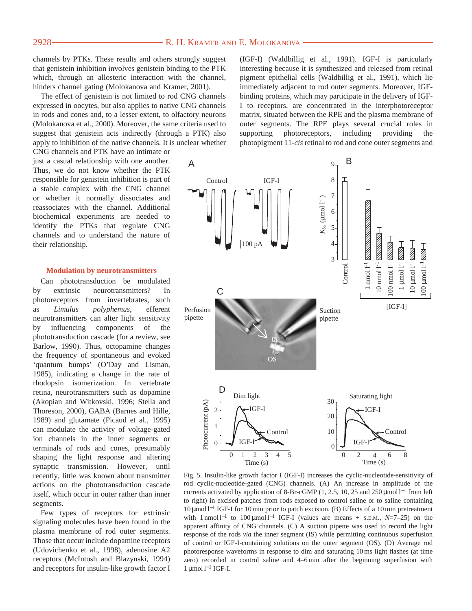## 2928 **CONSERVERT AND E. MOLOKANOVA** R. H. KRAMER AND E. MOLOKANOVA

channels by PTKs. These results and others strongly suggest that genistein inhibition involves genistein binding to the PTK which, through an allosteric interaction with the channel, hinders channel gating (Molokanova and Kramer, 2001).

The effect of genistein is not limited to rod CNG channels expressed in oocytes, but also applies to native CNG channels in rods and cones and, to a lesser extent, to olfactory neurons (Molokanova et al., 2000). Moreover, the same criteria used to suggest that genistein acts indirectly (through a PTK) also apply to inhibition of the native channels. It is unclear whether

CNG channels and PTK have an intimate or just a casual relationship with one another. Thus, we do not know whether the PTK responsible for genistein inhibition is part of a stable complex with the CNG channel or whether it normally dissociates and reassociates with the channel. Additional biochemical experiments are needed to identify the PTKs that regulate CNG channels and to understand the nature of their relationship.

### **Modulation by neurotransmitters**

Can phototransduction be modulated by extrinsic neurotransmitters? In photoreceptors from invertebrates, such as *Limulus polyphemus*, efferent neurotransmitters can alter light sensitivity by influencing components of the phototransduction cascade (for a review, see Barlow, 1990). Thus, octopamine changes the frequency of spontaneous and evoked 'quantum bumps' (O'Day and Lisman, 1985), indicating a change in the rate of rhodopsin isomerization. In vertebrate retina, neurotransmitters such as dopamine (Akopian and Witkovski, 1996; Stella and Thoreson, 2000), GABA (Barnes and Hille, 1989) and glutamate (Picaud et al., 1995) can modulate the activity of voltage-gated ion channels in the inner segments or terminals of rods and cones, presumably shaping the light response and altering synaptic transmission. However, until recently, little was known about transmitter actions on the phototransduction cascade itself, which occur in outer rather than inner segments.

Few types of receptors for extrinsic signaling molecules have been found in the plasma membrane of rod outer segments. Those that occur include dopamine receptors (Udovichenko et al., 1998), adenosine A2 receptors (McIntosh and Blazynski, 1994) and receptors for insulin-like growth factor I

(IGF-I) (Waldbillig et al., 1991). IGF-I is particularly interesting because it is synthesized and released from retinal pigment epithelial cells (Waldbillig et al., 1991), which lie immediately adjacent to rod outer segments. Moreover, IGFbinding proteins, which may participate in the delivery of IGF-I to receptors, are concentrated in the interphotoreceptor matrix, situated between the RPE and the plasma membrane of outer segments. The RPE plays several crucial roles in supporting photoreceptors, including providing the photopigment 11-*cis* retinal to rod and cone outer segments and



Fig. 5. Insulin-like growth factor I (IGF-I) increases the cyclic-nucleotide-sensitivity of rod cyclic-nucleotide-gated (CNG) channels. (A) An increase in amplitude of the currents activated by application of 8-Br-cGMP (1, 2.5, 10, 25 and 250 µmol l−<sup>1</sup> from left to right) in excised patches from rods exposed to control saline or to saline containing 10 µmol l−<sup>1</sup> IGF-I for 10 min prior to patch excision. (B) Effects of a 10 min pretreatment with 1 nmol l−<sup>1</sup> to 100 µmol l−<sup>1</sup> IGF-I (values are means + S.E.M., *N*=7–25) on the apparent affinity of CNG channels. (C) A suction pipette was used to record the light response of the rods *via* the inner segment (IS) while permitting continuous superfusion of control or IGF-I-containing solutions on the outer segment (OS). (D) Average rod photoresponse waveforms in response to dim and saturating 10 ms light flashes (at time zero) recorded in control saline and 4–6 min after the beginning superfusion with 1 µmol l−<sup>1</sup> IGF-I.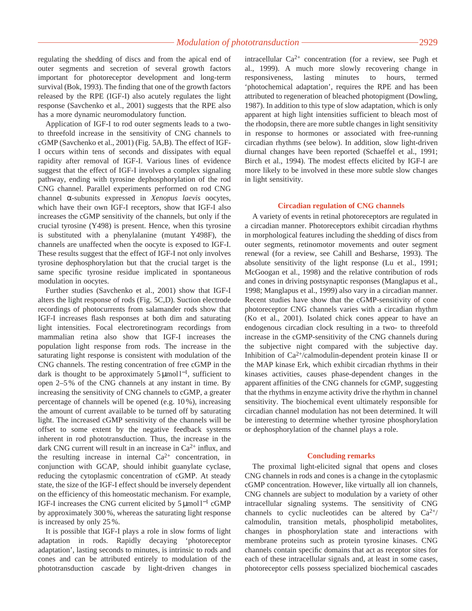regulating the shedding of discs and from the apical end of outer segments and secretion of several growth factors important for photoreceptor development and long-term survival (Bok, 1993). The finding that one of the growth factors released by the RPE (IGF-I) also acutely regulates the light response (Savchenko et al., 2001) suggests that the RPE also has a more dynamic neuromodulatory function.

Application of IGF-I to rod outer segments leads to a twoto threefold increase in the sensitivity of CNG channels to cGMP (Savchenko et al., 2001) (Fig. 5A,B). The effect of IGF-I occurs within tens of seconds and dissipates with equal rapidity after removal of IGF-I. Various lines of evidence suggest that the effect of IGF-I involves a complex signaling pathway, ending with tyrosine dephosphorylation of the rod CNG channel. Parallel experiments performed on rod CNG channel α-subunits expressed in *Xenopus laevis* oocytes, which have their own IGF-I receptors, show that IGF-I also increases the cGMP sensitivity of the channels, but only if the crucial tyrosine (Y498) is present. Hence, when this tyrosine is substituted with a phenylalanine (mutant Y498F), the channels are unaffected when the oocyte is exposed to IGF-I. These results suggest that the effect of IGF-I not only involves tyrosine dephosphorylation but that the crucial target is the same specific tyrosine residue implicated in spontaneous modulation in oocytes.

Further studies (Savchenko et al., 2001) show that IGF-I alters the light response of rods (Fig. 5C,D). Suction electrode recordings of photocurrents from salamander rods show that IGF-I increases flash responses at both dim and saturating light intensities. Focal electroretinogram recordings from mammalian retina also show that IGF-I increases the population light response from rods. The increase in the saturating light response is consistent with modulation of the CNG channels. The resting concentration of free cGMP in the dark is thought to be approximately 5 µmol l<sup>−1</sup>, sufficient to open 2–5 % of the CNG channels at any instant in time. By increasing the sensitivity of CNG channels to cGMP, a greater percentage of channels will be opened (e.g. 10 %), increasing the amount of current available to be turned off by saturating light. The increased cGMP sensitivity of the channels will be offset to some extent by the negative feedback systems inherent in rod phototransduction. Thus, the increase in the dark CNG current will result in an increase in  $Ca^{2+}$  influx, and the resulting increase in internal  $Ca^{2+}$  concentration, in conjunction with GCAP, should inhibit guanylate cyclase, reducing the cytoplasmic concentration of cGMP. At steady state, the size of the IGF-I effect should be inversely dependent on the efficiency of this homeostatic mechanism. For example, IGF-I increases the CNG current elicited by 5 µmol l−<sup>1</sup> cGMP by approximately 300 %, whereas the saturating light response is increased by only 25 %.

It is possible that IGF-I plays a role in slow forms of light adaptation in rods. Rapidly decaying 'photoreceptor adaptation', lasting seconds to minutes, is intrinsic to rods and cones and can be attributed entirely to modulation of the phototransduction cascade by light-driven changes in intracellular Ca2+ concentration (for a review, see Pugh et al., 1999). A much more slowly recovering change in responsiveness, lasting minutes to hours, termed 'photochemical adaptation', requires the RPE and has been attributed to regeneration of bleached photopigment (Dowling, 1987). In addition to this type of slow adaptation, which is only apparent at high light intensities sufficient to bleach most of the rhodopsin, there are more subtle changes in light sensitivity in response to hormones or associated with free-running circadian rhythms (see below). In addition, slow light-driven diurnal changes have been reported (Schaeffel et al., 1991; Birch et al., 1994). The modest effects elicited by IGF-I are more likely to be involved in these more subtle slow changes in light sensitivity.

#### **Circadian regulation of CNG channels**

A variety of events in retinal photoreceptors are regulated in a circadian manner. Photoreceptors exhibit circadian rhythms in morphological features including the shedding of discs from outer segments, retinomotor movements and outer segment renewal (for a review, see Cahill and Besharse, 1993). The absolute sensitivity of the light response (Lu et al., 1991; McGoogan et al., 1998) and the relative contribution of rods and cones in driving postsynaptic responses (Manglapus et al., 1998; Manglapus et al., 1999) also vary in a circadian manner. Recent studies have show that the cGMP-sensitivity of cone photoreceptor CNG channels varies with a circadian rhythm (Ko et al., 2001). Isolated chick cones appear to have an endogenous circadian clock resulting in a two- to threefold increase in the cGMP-sensitivity of the CNG channels during the subjective night compared with the subjective day. Inhibition of Ca2+/calmodulin-dependent protein kinase II or the MAP kinase Erk, which exhibit circadian rhythms in their kinases activities, causes phase-dependent changes in the apparent affinities of the CNG channels for cGMP, suggesting that the rhythms in enzyme activity drive the rhythm in channel sensitivity. The biochemical event ultimately responsible for circadian channel modulation has not been determined. It will be interesting to determine whether tyrosine phosphorylation or dephosphorylation of the channel plays a role.

#### **Concluding remarks**

The proximal light-elicited signal that opens and closes CNG channels in rods and cones is a change in the cytoplasmic cGMP concentration. However, like virtually all ion channels, CNG channels are subject to modulation by a variety of other intracellular signaling systems. The sensitivity of CNG channels to cyclic nucleotides can be altered by  $Ca^{2+}/$ calmodulin, transition metals, phospholipid metabolites, changes in phosphorylation state and interactions with membrane proteins such as protein tyrosine kinases. CNG channels contain specific domains that act as receptor sites for each of these intracellular signals and, at least in some cases, photoreceptor cells possess specialized biochemical cascades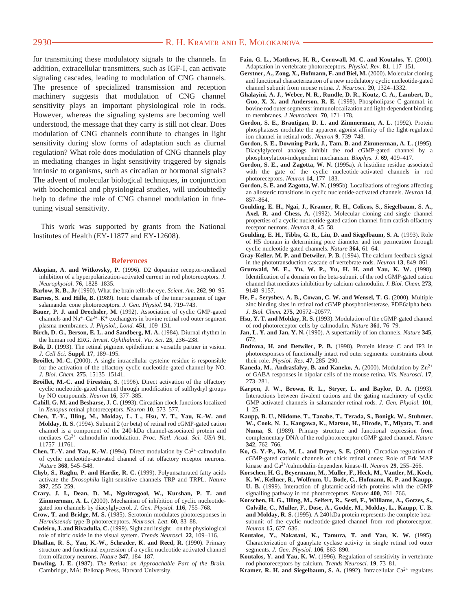## 2930 **R. H. KRAMER AND E. MOLOKANOVA**

for transmitting these modulatory signals to the channels. In addition, extracellular transmitters, such as IGF-I, can activate signaling cascades, leading to modulation of CNG channels. The presence of specialized transmission and reception machinery suggests that modulation of CNG channel sensitivity plays an important physiological role in rods. However, whereas the signaling systems are becoming well understood, the message that they carry is still not clear. Does modulation of CNG channels contribute to changes in light sensitivity during slow forms of adaptation such as diurnal regulation? What role does modulation of CNG channels play in mediating changes in light sensitivity triggered by signals intrinsic to organisms, such as circadian or hormonal signals? The advent of molecular biological techniques, in conjunction with biochemical and physiological studies, will undoubtedly help to define the role of CNG channel modulation in finetuning visual sensitivity.

This work was supported by grants from the National Institutes of Health (EY-11877 and EY-12608).

#### **References**

- **Akopian, A. and Witkovsky, P.** (1996). D2 dopamine receptor-mediated inhibition of a hyperpolarization-activated current in rod photoreceptors. *J. Neurophysiol*. **76**, 1828–1835.
- **Barlow, R. B., Jr** (1990). What the brain tells the eye. *Scient. Am.* **262**, 90–95.
- **Barnes, S. and Hille, B.** (1989). Ionic channels of the inner segment of tiger salamander cone photoreceptors. *J. Gen. Physiol.* **94**, 719–743.
- **Bauer, P. J. and Drechsler, M.** (1992). Association of cyclic GMP-gated channels and  $Na^{\dagger}-Ca^{2+}-K^{\dagger}$  exchangers in bovine retinal rod outer segment plasma membranes. *J. Physiol., Lond.* **451**, 109–131.
- **Birch, D. G., Berson, E. L. and Sandberg, M. A.** (1984). Diurnal rhythm in the human rod ERG. *Invest. Ophthalmol. Vis. Sci.* **25**, 236–238.
- **Bok, D.** (1993). The retinal pigment epithelium: a versatile partner in vision. *J. Cell Sci.* **Suppl. 17**, 189–195.
- **Broillet, M.-C.** (2000). A single intracellular cysteine residue is responsible for the activation of the olfactory cyclic nucleotide-gated channel by NO. *J. Biol. Chem.* **275**, 15135–15141.
- **Broillet, M.-C. and Firestein, S.** (1996). Direct activation of the olfactory cyclic nucleotide-gated channel through modification of sulfhydryl groups by NO compounds. *Neuron* **16**, 377–385.
- **Cahill, G. M. and Besharse, J. C.** (1993). Circadian clock functions localized in *Xenopus* retinal photoreceptors. *Neuron* **10**, 573–577.
- **Chen, T.-Y., Illing, M., Molday, L. L., Hsu, Y. T., Yau, K.-W. and Molday, R. S.** (1994). Subunit 2 (or beta) of retinal rod cGMP-gated cation channel is a component of the 240-kDa channel-associated protein and mediates Ca2+–calmodulin modulation. *Proc. Natl. Acad. Sci. USA* **91**, 11757–11761.
- **Chen, T.-Y. and Yau, K.-W.** (1994). Direct modulation by  $Ca^{2+}$ -calmodulin of cyclic nucleotide-activated channel of rat olfactory receptor neurons. *Nature* **368**, 545–548.
- **Chyb, S., Raghu, P. and Hardie, R. C.** (1999). Polyunsaturated fatty acids activate the *Drosophila* light-sensitive channels TRP and TRPL. *Nature* **397**, 255–259.
- **Crary, J. I., Dean, D. M., Nguitragool, W., Kurshan, P. T. and Zimmerman, A. L.** (2000). Mechanism of inhibition of cyclic nucleotidegated ion channels by diacylglycerol. *J. Gen. Physiol.* **116**, 755–768.
- **Crow, T. and Bridge, M. S.** (1985). Serotonin modulates photoresponses in *Hermissenda* type-B photoreceptors. *Neurosci. Lett.* **60**, 83–88.
- **Cudeiro, J. and Rivadulla, C.** (1999). Sight and insight on the physiological role of nitric oxide in the visual system. *Trends Neurosci.* **22**, 109–116.
- **Dhallan, R. S., Yau, K.-W., Schrader, K. and Reed, R.** (1990). Primary structure and functional expression of a cyclic nucleotide-activated channel from olfactory neurons. *Nature* **347**, 184–187.
- **Dowling, J. E.** (1987). *The Retina: an Approachable Part of the Brain.* Cambridge, MA: Belknap Press, Harvard University.
- **Fain, G. L., Matthews, H. R., Cornwall, M. C. and Koutalos, Y.** (2001). Adaptation in vertebrate photoreceptors. *Physiol. Rev.* **81**, 117–151.
- **Gerstner, A., Zong, X., Hofmann, F. and Biel, M.** (2000). Molecular cloning and functional characterization of a new modulatory cyclic nucleotide-gated channel subunit from mouse retina. *J. Neurosci.* **20**, 1324–1332.
- **Ghalayini, A. J., Weber, N. R., Rundle, D. R., Koutz, C. A., Lambert, D., Guo, X. X. and Anderson, R. E.** (1998). Phospholipase C gamma1 in bovine rod outer segments: immunolocalization and light-dependent binding to membranes. *J Neurochem.* **70**, 171–178.
- **Gordon, S. E., Brautigan, D. L. and Zimmerman, A. L.** (1992). Protein phosphatases modulate the apparent agonist affinity of the light-regulated ion channel in retinal rods. *Neuron* **9**, 739–748.
- **Gordon, S. E., Downing-Park, J., Tam, B. and Zimmerman, A. L.** (1995). Diacylglycerol analogs inhibit the rod cGMP-gated channel by a phosphorylation-independent mechanism. *Biophys. J.* **69**, 409–417.
- **Gordon, S. E., and Zagotta, W. N.** (1995a). A histidine residue associated with the gate of the cyclic nucleotide-activated channels in rod photoreceptors. *Neuron* **14**, 177–183.
- **Gordon, S. E. and Zagotta, W. N.** (1995b). Localizations of regions affecting an allosteric transitions in cyclic nucleotide-activated channels. *Neuron* **14**, 857–864.
- **Goulding, E. H., Ngai, J., Kramer, R. H., Colicos, S., Siegelbaum, S. A., Axel, R. and Chess, A.** (1992). Molecular cloning and single channel properties of a cyclic nucleotide-gated cation channel from catfish olfactory receptor neurons. *Neuron* **8**, 45–58.
- **Goulding, E. H., Tibbs, G. R., Liu, D. and Siegelbaum, S. A.** (1993). Role of H5 domain in determining pore diameter and ion permeation through cyclic nucleotide-gated channels. *Nature* **364**, 61–64.
- **Gray-Keller, M. P. and Detwiler, P. B.** (1994). The calcium feedback signal in the phototransduction cascade of vertebrate rods. *Neuron* **13**, 849–861.
- **Grunwald, M. E., Yu, W. P., Yu, H. H. and Yau, K. W.** (1998). Identification of a domain on the beta-subunit of the rod cGMP-gated cation channel that mediates inhibition by calcium-calmodulin. *J. Biol. Chem.* **273**, 9148–9157.
- **He, F., Seryshev, A. B., Cowan, C. W. and Wensel, T. G.** (2000). Multiple zinc binding sites in retinal rod cGMP phosphodiesterase, PDE6alpha beta. *J. Biol. Chem.* **275**, 20572–20577.
- **Hsu, Y. T. and Molday, R. S.** (1993). Modulation of the cGMP-gated channel of rod photoreceptor cells by calmodulin. *Nature* **361**, 76–79.
- **Jan, L. Y. and Jan, Y. N.** (1990). A superfamily of ion channels. *Nature* **345**, 672.
- **Jindrova, H. and Detwiler, P. B.** (1998). Protein kinase C and IP3 in photoresponses of functionally intact rod outer segments: constraints about their role. *Physiol. Res.* **47**, 285–290.
- **Kaneda, M., Andrasfalvy, B. and Kaneko, A.** (2000). Modulation by  $\text{Zn}^{2+}$ of GABA responses in bipolar cells of the mouse retina. *Vis. Neurosci*. **17**, 273–281.
- **Karpen, J. W., Brown, R. L., Stryer, L. and Baylor, D. A.** (1993). Interactions between divalent cations and the gating machinery of cyclic GMP-activated channels in salamander retinal rods. *J. Gen. Physiol.* **101**, 1–25.
- **Kaupp, B. U., Niidome, T., Tanabe, T., Terada, S., Bonigk, W., Stuhmer, W., Cook, N. J., Kangawa, K., Matsuo, H., Hirode, T., Miyata, T. and Numa, S.** (1989). Primary structure and functional expression from complementary DNA of the rod photoreceptor cGMP-gated channel. *Nature* **342**, 762–766.
- **Ko, G. Y.-P., Ko, M. L. and Dryer, S. E.** (2001). Circadian regulation of cGMP-gated cationic channels of chick retinal cones: Role of Erk MAP kinase and Ca2+/calmodulin-dependent kinase-II. *Neuron* **29**, 255–266.
- **Korschen, H. G., Beyermann, M., Muller, F., Heck, M., Vantler, M., Koch, K. W., Kellner, R., Wolfrum, U., Bode, C., Hofmann, K. P. and Kaupp, U. B.** (1999). Interaction of glutamic-acid-rich proteins with the cGMP signalling pathway in rod photoreceptors. *Nature* **400**, 761–766.
- **Korschen, H. G., Illing, M., Seifert, R., Sesti, F., Williams, A., Gotzes, S., Colville, C., Muller, F., Dose, A., Godde, M., Molday, L., Kaupp, U. B. and Molday, R. S.** (1995). A 240 kDa protein represents the complete betasubunit of the cyclic nucleotide-gated channel from rod photoreceptor. *Neuron* **15**, 627–636.
- **Koutalos, Y., Nakatani, K., Tamura, T. and Yau, K. W.** (1995). Characterization of guanylate cyclase activity in single retinal rod outer segments. *J. Gen. Physiol.* **106**, 863–890.
- **Koutalos, Y. and Yau, K. W.** (1996). Regulation of sensitivity in vertebrate rod photoreceptors by calcium. *Trends Neurosci.* **19**, 73–81.
- **Kramer, R. H. and Siegelbaum, S. A.** (1992). Intracellular  $Ca^{2+}$  regulates